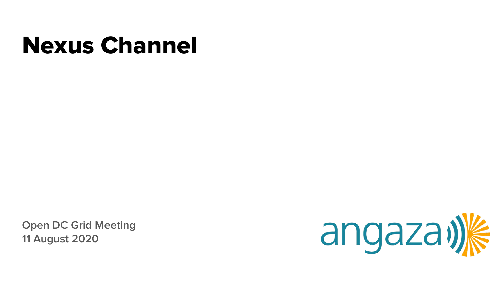# Nexus Channel

**Open DC Grid Meeting 11 August 2020**

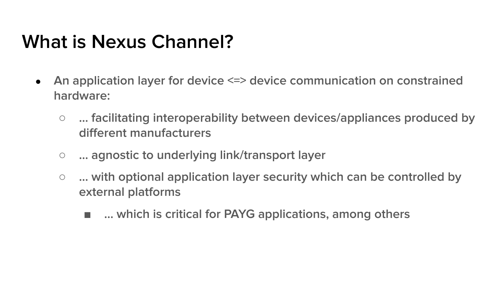### **What is Nexus Channel?**

- **An application layer for device <=> device communication on constrained hardware:**
	- **… facilitating interoperability between devices/appliances produced by different manufacturers**
	- **… agnostic to underlying link/transport layer**
	- **... with optional application layer security which can be controlled by external platforms**
		- … which is critical for PAYG applications, among others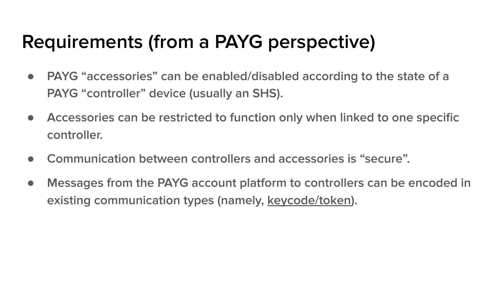# **Requirements (from a PAYG perspective)**

- **PAYG "accessories" can be enabled/disabled according to the state of a PAYG "controller" device (usually an SHS).**
- **Accessories can be restricted to function only when linked to one specific controller.**
- **Communication between controllers and accessories is "secure".**
- **Messages from the PAYG account platform to controllers can be encoded in existing communication types (namely, keycode/token).**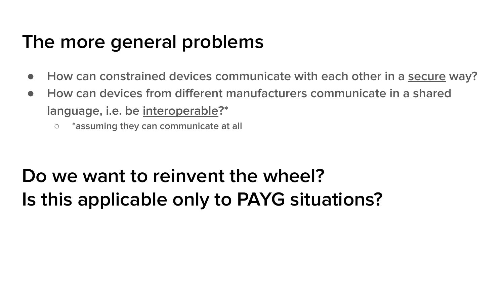### **The more general problems**

- **How can constrained devices communicate with each other in a secure way?**
- **How can devices from different manufacturers communicate in a shared language, i.e. be interoperable?\***
	- **\*assuming they can communicate at all**

# **Do we want to reinvent the wheel? Is this applicable only to PAYG situations?**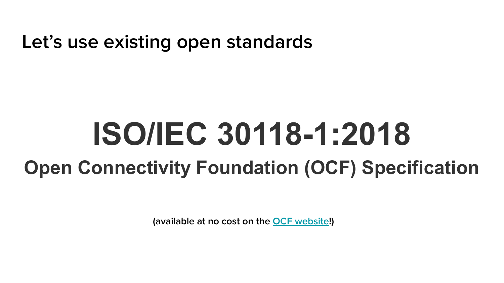**Let's use existing open standards**

# **ISO/IEC 30118-1:2018 Open Connectivity Foundation (OCF) Specification**

**(available at no cost on the [OCF website!](https://openconnectivity.org/))**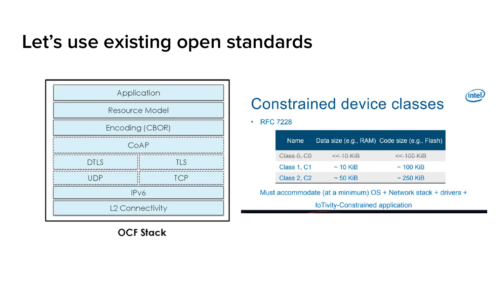#### Let's use existing open standards



**OCF Stack** 

#### **Constrained device classes**

(intel)

· RFC 7228

| <b>Name</b>        |               | Data size (e.g., RAM) Code size (e.g., Flash) |
|--------------------|---------------|-----------------------------------------------|
| Class 0, CO        | $<< 10$ KiB   | $<< 100$ KiB                                  |
| Class 1, C1        | $\sim$ 10 KiB | $\sim$ 100 KiB                                |
| <b>Class 2, C2</b> | $\sim$ 50 KiB | $\sim$ 250 KiB                                |

Must accommodate (at a minimum) OS + Network stack + drivers +

loTivity-Constrained application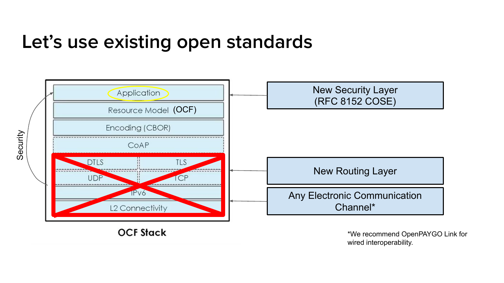#### **Let's use existing open standards**



**OCF Stack** 

\*We recommend OpenPAYGO Link for wired interoperability.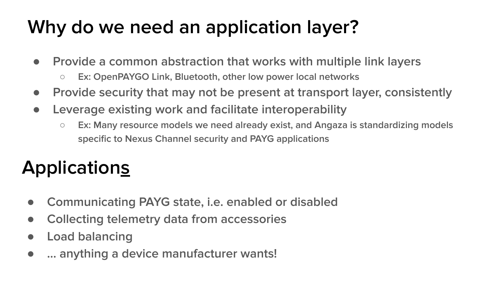# **Why do we need an application layer?**

- **Provide a common abstraction that works with multiple link layers**
	- **Ex: OpenPAYGO Link, Bluetooth, other low power local networks**
- **Provide security that may not be present at transport layer, consistently**
- **Leverage existing work and facilitate interoperability**
	- **Ex: Many resource models we need already exist, and Angaza is standardizing models specific to Nexus Channel security and PAYG applications**

# **Applications**

- **Communicating PAYG state, i.e. enabled or disabled**
- **Collecting telemetry data from accessories**
- **Load balancing**
- **… anything a device manufacturer wants!**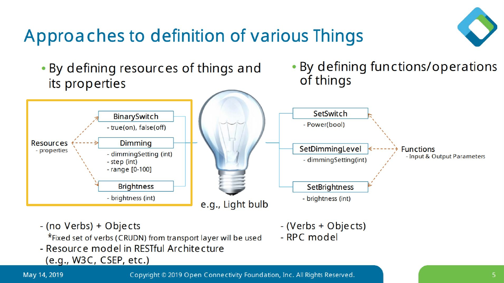# Approaches to definition of various Things



. By defining resources of things and its properties

. By defining functions/operations of things



- (no Verbs) + Objects
	- \*Fixed set of verbs (CRUDN) from transport layer will be used
- Resource model in RESTful Architecture
	- $(e.q., W3C, CSEP, etc.)$
- (Verbs + Objects)
- RPC model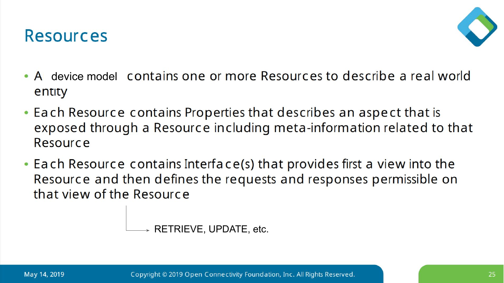



- A device model contains one or more Resources to describe a real world entity
- Each Resource contains Properties that describes an aspect that is exposed through a Resource including meta-information related to that Resource
- Each Resource contains Interface(s) that provides first a view into the Resource and then defines the requests and responses permissible on that view of the Resource

RETRIEVE, UPDATE, etc.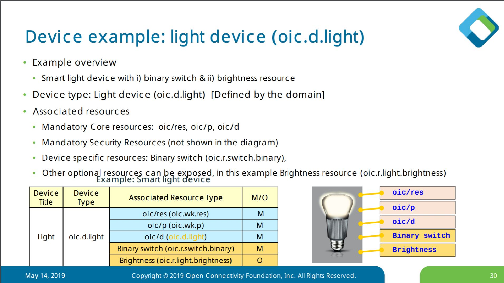

### Device example: light device (oic.d.light)

- Example overview  $\bullet$ 
	- Smart light device with i) binary switch & ii) brightness resource
- Device type: Light device (oic.d.light) [Defined by the domain]  $\bullet$
- Associated resources  $\bullet$ 
	- Mandatory Core resources: oic/res, oic/p, oic/d
	- Mandatory Security Resources (not shown in the diagram)
	- Device specific resources: Binary switch (oic.r.switch.binary),
	- Other optional resources can be exposed, in this example Brightness resource (oic.r.light.brightness)<br>Example: Smart light device

| <b>Device</b><br><b>Title</b> | <b>Device</b><br><b>Type</b> | <b>Associated Resource Type</b>     | M/O |
|-------------------------------|------------------------------|-------------------------------------|-----|
| Light                         |                              | oic/res (oic.wk.res)                | м   |
|                               | oic.d.light                  | oic/p (oic.wk.p)                    | M   |
|                               |                              | oic/d (oic.d.light)                 | м   |
|                               |                              | Binary switch (oic.r.switch.binary) | M   |
|                               |                              | Brightness (oic.r.light.brightness) |     |



May 14, 2019

Copyright © 2019 Open Connectivity Foundation, Inc. All Rights Reserved.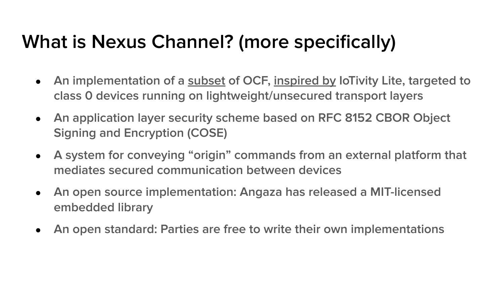# **What is Nexus Channel? (more specifically)**

- **An implementation of a subset of OCF, inspired by IoTivity Lite, targeted to class 0 devices running on lightweight/unsecured transport layers**
- **An application layer security scheme based on RFC 8152 CBOR Object Signing and Encryption (COSE)**
- **A system for conveying "origin" commands from an external platform that mediates secured communication between devices**
- **An open source implementation: Angaza has released a MIT-licensed embedded library**
- **An open standard: Parties are free to write their own implementations**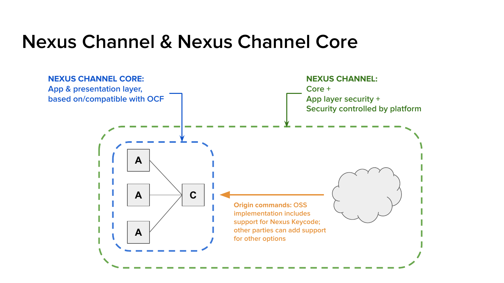#### **Nexus Channel & Nexus Channel Core**

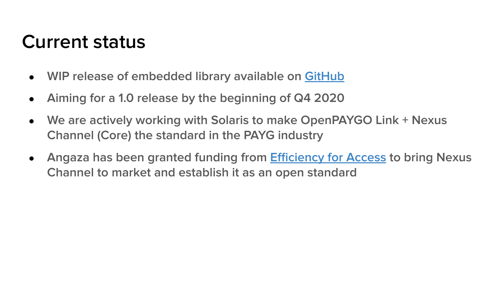#### **Current status**

- **WIP release of embedded library available on [GitHub](https://github.com/angaza/nexus-embedded)**
- **Aiming for a 1.0 release by the beginning of Q4 2020**
- **We are actively working with Solaris to make OpenPAYGO Link + Nexus Channel (Core) the standard in the PAYG industry**
- **Angaza has been granted funding from [Efficiency for Access](http://efficiencyforaccess.org/) to bring Nexus Channel to market and establish it as an open standard**